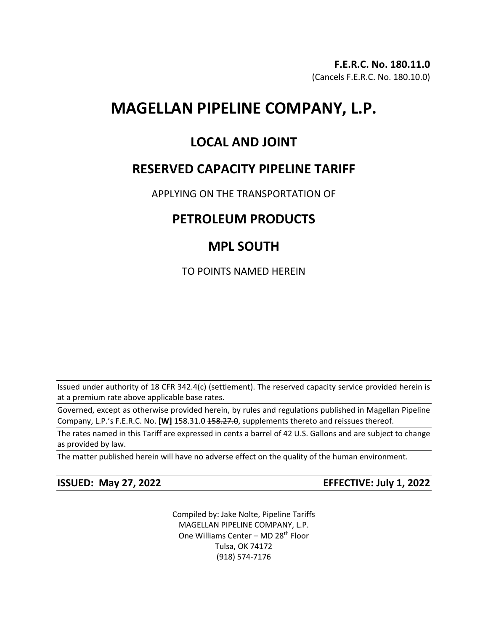# **MAGELLAN PIPELINE COMPANY, L.P.**

### **LOCAL AND JOINT**

### **RESERVED CAPACITY PIPELINE TARIFF**

APPLYING ON THE TRANSPORTATION OF

## **PETROLEUM PRODUCTS**

## **MPL SOUTH**

TO POINTS NAMED HEREIN

Issued under authority of 18 CFR 342.4(c) (settlement). The reserved capacity service provided herein is at a premium rate above applicable base rates.

Governed, except as otherwise provided herein, by rules and regulations published in Magellan Pipeline Company, L.P.'s F.E.R.C. No. **[W]** 158.31.0 458.27.0, supplements thereto and reissues thereof.

The rates named in this Tariff are expressed in cents a barrel of 42 U.S. Gallons and are subject to change as provided by law.

The matter published herein will have no adverse effect on the quality of the human environment.

**ISSUED: May 27, 2022 EFFECTIVE: July 1, 2022**

Compiled by: Jake Nolte, Pipeline Tariffs MAGELLAN PIPELINE COMPANY, L.P. One Williams Center - MD 28<sup>th</sup> Floor Tulsa, OK 74172 (918) 574-7176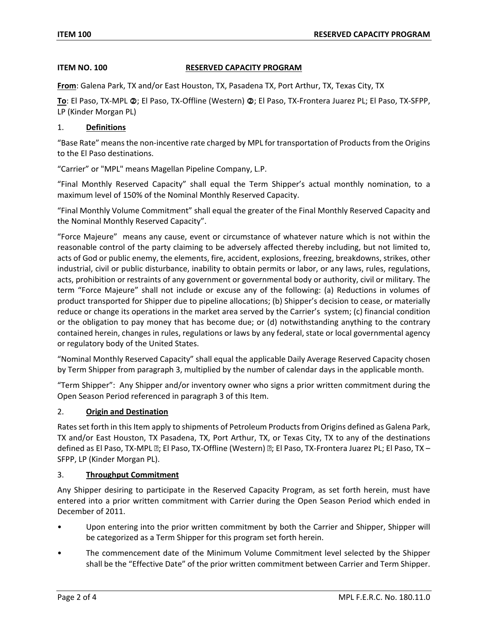#### **ITEM NO. 100 RESERVED CAPACITY PROGRAM**

**From**: Galena Park, TX and/or East Houston, TX, Pasadena TX, Port Arthur, TX, Texas City, TX

To: El Paso, TX-MPL @; El Paso, TX-Offline (Western) @; El Paso, TX-Frontera Juarez PL; El Paso, TX-SFPP, LP (Kinder Morgan PL)

#### 1. **Definitions**

"Base Rate" means the non-incentive rate charged by MPL for transportation of Products from the Origins to the El Paso destinations.

"Carrier" or "MPL" means Magellan Pipeline Company, L.P.

"Final Monthly Reserved Capacity" shall equal the Term Shipper's actual monthly nomination, to a maximum level of 150% of the Nominal Monthly Reserved Capacity.

"Final Monthly Volume Commitment" shall equal the greater of the Final Monthly Reserved Capacity and the Nominal Monthly Reserved Capacity".

"Force Majeure" means any cause, event or circumstance of whatever nature which is not within the reasonable control of the party claiming to be adversely affected thereby including, but not limited to, acts of God or public enemy, the elements, fire, accident, explosions, freezing, breakdowns, strikes, other industrial, civil or public disturbance, inability to obtain permits or labor, or any laws, rules, regulations, acts, prohibition or restraints of any government or governmental body or authority, civil or military. The term "Force Majeure" shall not include or excuse any of the following: (a) Reductions in volumes of product transported for Shipper due to pipeline allocations; (b) Shipper's decision to cease, or materially reduce or change its operations in the market area served by the Carrier's system; (c) financial condition or the obligation to pay money that has become due; or (d) notwithstanding anything to the contrary contained herein, changes in rules, regulations or laws by any federal, state or local governmental agency or regulatory body of the United States.

"Nominal Monthly Reserved Capacity" shall equal the applicable Daily Average Reserved Capacity chosen by Term Shipper from paragraph 3, multiplied by the number of calendar days in the applicable month.

"Term Shipper": Any Shipper and/or inventory owner who signs a prior written commitment during the Open Season Period referenced in paragraph 3 of this Item.

#### 2. **Origin and Destination**

Rates set forth in this Item apply to shipments of Petroleum Products from Origins defined as Galena Park, TX and/or East Houston, TX Pasadena, TX, Port Arthur, TX, or Texas City, TX to any of the destinations defined as El Paso, TX-MPL [2]; El Paso, TX-Offline (Western) [2]; El Paso, TX-Frontera Juarez PL; El Paso, TX – SFPP, LP (Kinder Morgan PL).

#### 3. **Throughput Commitment**

Any Shipper desiring to participate in the Reserved Capacity Program, as set forth herein, must have entered into a prior written commitment with Carrier during the Open Season Period which ended in December of 2011.

- Upon entering into the prior written commitment by both the Carrier and Shipper, Shipper will be categorized as a Term Shipper for this program set forth herein.
- The commencement date of the Minimum Volume Commitment level selected by the Shipper shall be the "Effective Date" of the prior written commitment between Carrier and Term Shipper.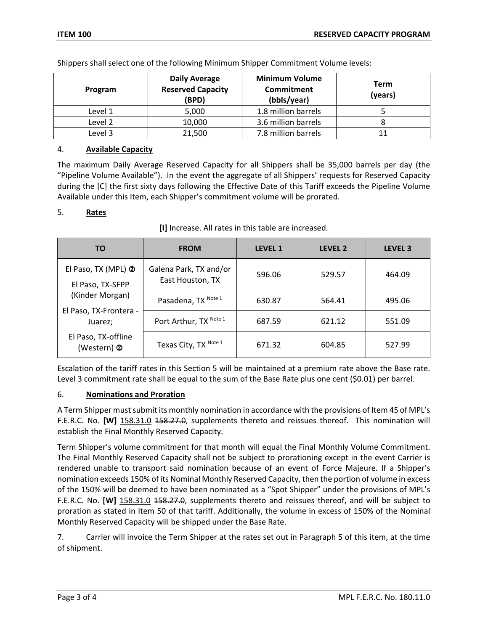| Program | <b>Daily Average</b><br><b>Reserved Capacity</b><br>(BPD) | <b>Minimum Volume</b><br><b>Commitment</b><br>(bbls/year) | Term<br>(years) |
|---------|-----------------------------------------------------------|-----------------------------------------------------------|-----------------|
| Level 1 | 5,000                                                     | 1.8 million barrels                                       |                 |
| Level 2 | 10,000                                                    | 3.6 million barrels                                       |                 |
| Level 3 | 21,500                                                    | 7.8 million barrels                                       |                 |

Shippers shall select one of the following Minimum Shipper Commitment Volume levels:

### 4. **Available Capacity**

The maximum Daily Average Reserved Capacity for all Shippers shall be 35,000 barrels per day (the "Pipeline Volume Available"). In the event the aggregate of all Shippers' requests for Reserved Capacity during the [C] the first sixty days following the Effective Date of this Tariff exceeds the Pipeline Volume Available under this Item, each Shipper's commitment volume will be prorated.

#### 5. **Rates**

| [I] Increase. All rates in this table are increased. |
|------------------------------------------------------|
|------------------------------------------------------|

| ΤO                                                                                                                                    | <b>FROM</b>                                | <b>LEVEL 1</b> | LEVEL 2 | LEVEL <sub>3</sub> |
|---------------------------------------------------------------------------------------------------------------------------------------|--------------------------------------------|----------------|---------|--------------------|
| El Paso, TX (MPL) 2<br>El Paso, TX-SFPP<br>(Kinder Morgan)<br>El Paso, TX-Frontera -<br>Juarez;<br>El Paso, TX-offline<br>(Western) 2 | Galena Park, TX and/or<br>East Houston, TX | 596.06         | 529.57  | 464.09             |
|                                                                                                                                       | Pasadena, TX Note 1                        | 630.87         | 564.41  | 495.06             |
|                                                                                                                                       | Port Arthur, TX Note 1                     | 687.59         | 621.12  | 551.09             |
|                                                                                                                                       | Texas City, TX Note 1                      | 671.32         | 604.85  | 527.99             |

Escalation of the tariff rates in this Section 5 will be maintained at a premium rate above the Base rate. Level 3 commitment rate shall be equal to the sum of the Base Rate plus one cent (\$0.01) per barrel.

#### 6. **Nominations and Proration**

A Term Shipper must submit its monthly nomination in accordance with the provisions of Item 45 of MPL's F.E.R.C. No. **[W]** 158.31.0 158.27.0, supplements thereto and reissues thereof. This nomination will establish the Final Monthly Reserved Capacity.

Term Shipper's volume commitment for that month will equal the Final Monthly Volume Commitment. The Final Monthly Reserved Capacity shall not be subject to prorationing except in the event Carrier is rendered unable to transport said nomination because of an event of Force Majeure. If a Shipper's nomination exceeds 150% of its Nominal Monthly Reserved Capacity, then the portion of volume in excess of the 150% will be deemed to have been nominated as a "Spot Shipper" under the provisions of MPL's F.E.R.C. No. **[W]** 158.31.0 158.27.0, supplements thereto and reissues thereof, and will be subject to proration as stated in Item 50 of that tariff. Additionally, the volume in excess of 150% of the Nominal Monthly Reserved Capacity will be shipped under the Base Rate.

7. Carrier will invoice the Term Shipper at the rates set out in Paragraph 5 of this item, at the time of shipment.